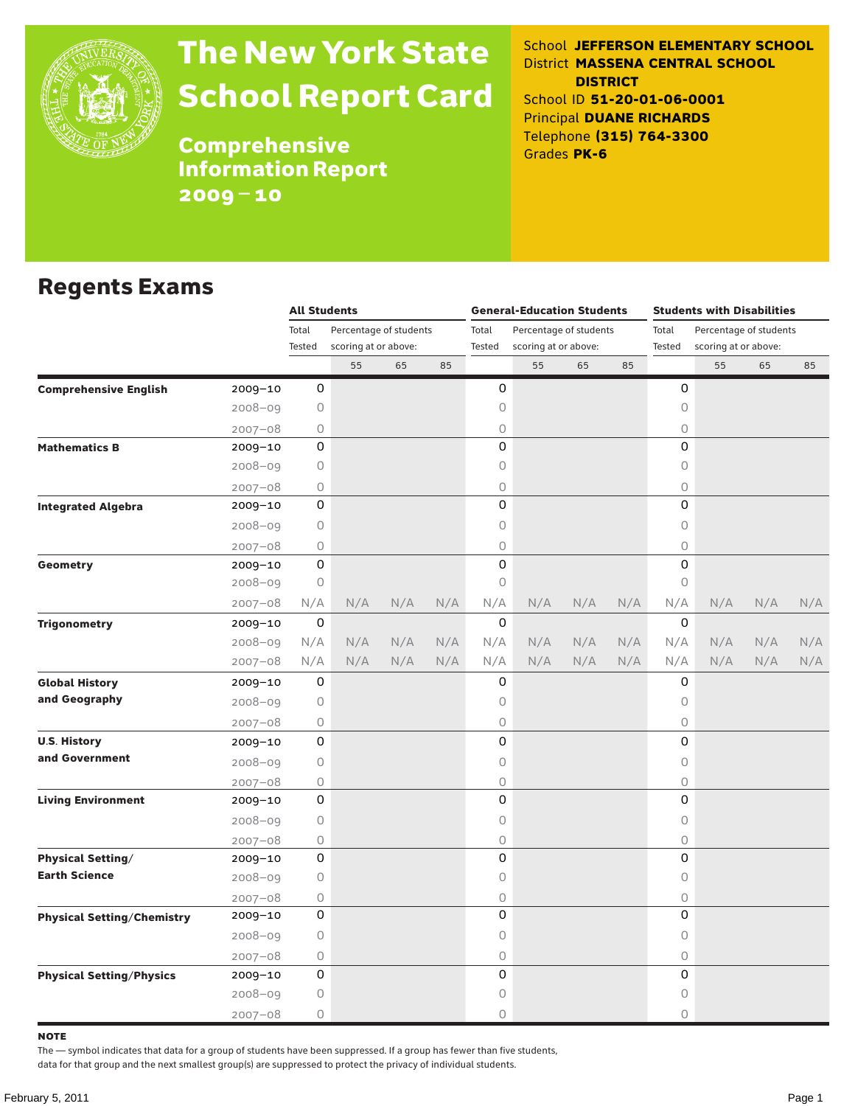

# The New York State School Report Card

School **JEFFERSON ELEMENTARY SCHOOL** District **MASSENA CENTRAL SCHOOL DISTRICT** School ID **51-20-01-06-0001** Principal **DUANE RICHARDS** Telephone **(315) 764-3300** Grades **PK-6**

Comprehensive Information Report 2009–10

#### Regents Exams

|                                   |             | <b>All Students</b>             |                      |       |                        | <b>General-Education Students</b> |                      |       | <b>Students with Disabilities</b> |             |     |                                                                     |     |  |
|-----------------------------------|-------------|---------------------------------|----------------------|-------|------------------------|-----------------------------------|----------------------|-------|-----------------------------------|-------------|-----|---------------------------------------------------------------------|-----|--|
|                                   |             | Percentage of students<br>Total |                      | Total | Percentage of students |                                   |                      | Total |                                   |             |     |                                                                     |     |  |
|                                   |             | Tested                          | scoring at or above: |       |                        | Tested                            | scoring at or above: |       |                                   | Tested      |     |                                                                     |     |  |
|                                   |             |                                 | 55                   | 65    | 85                     |                                   | 55                   | 65    | 85                                |             | 55  | 65                                                                  | 85  |  |
| <b>Comprehensive English</b>      | 2009-10     | 0                               |                      |       |                        | 0                                 |                      |       |                                   | 0           |     |                                                                     |     |  |
|                                   | 2008-09     | 0                               |                      |       |                        | 0                                 |                      |       |                                   | $\mathsf O$ |     |                                                                     |     |  |
|                                   | $2007 - 08$ | 0                               |                      |       |                        | 0                                 |                      |       |                                   | 0           |     |                                                                     |     |  |
| <b>Mathematics B</b>              | 2009-10     | 0                               |                      |       |                        | 0                                 |                      |       |                                   | 0           |     |                                                                     |     |  |
|                                   | 2008-09     | 0                               |                      |       |                        | 0                                 |                      |       |                                   | $\mathsf O$ |     |                                                                     |     |  |
|                                   | $2007 - 08$ | 0                               |                      |       |                        | 0                                 |                      |       |                                   | 0           |     |                                                                     |     |  |
| <b>Integrated Algebra</b>         | 2009-10     | 0                               |                      |       |                        | 0                                 |                      |       |                                   | 0           |     |                                                                     |     |  |
|                                   | 2008-09     | 0                               |                      |       |                        | 0                                 |                      |       |                                   | $\circ$     |     |                                                                     |     |  |
|                                   | $2007 - 08$ | 0                               |                      |       |                        | 0                                 |                      |       |                                   | $\mathsf O$ |     |                                                                     |     |  |
| Geometry                          | 2009-10     | 0                               |                      |       |                        | 0                                 |                      |       |                                   | 0           |     |                                                                     |     |  |
|                                   | $2008 - 09$ | 0                               |                      |       |                        | 0                                 |                      |       |                                   | 0           |     |                                                                     |     |  |
|                                   | $2007 - 08$ | N/A                             | N/A                  | N/A   | N/A                    | N/A                               | N/A                  | N/A   | N/A                               | N/A         | N/A | Percentage of students<br>scoring at or above:<br>N/A<br>N/A<br>N/A | N/A |  |
| <b>Trigonometry</b>               | 2009-10     | 0                               |                      |       |                        | 0                                 |                      |       |                                   | 0           |     |                                                                     |     |  |
|                                   | 2008-09     | N/A                             | N/A                  | N/A   | N/A                    | N/A                               | N/A                  | N/A   | N/A                               | N/A         | N/A |                                                                     | N/A |  |
|                                   | $2007 - 08$ | N/A                             | N/A                  | N/A   | N/A                    | N/A                               | N/A                  | N/A   | N/A                               | N/A         | N/A |                                                                     | N/A |  |
| <b>Global History</b>             | 2009-10     | 0                               |                      |       |                        | 0                                 |                      |       |                                   | 0           |     |                                                                     |     |  |
| and Geography                     | $2008 - 09$ | 0                               |                      |       |                        | 0                                 |                      |       |                                   | $\mathsf O$ |     |                                                                     |     |  |
|                                   | $2007 - 08$ | 0                               |                      |       |                        | 0                                 |                      |       |                                   | 0           |     |                                                                     |     |  |
| <b>U.S. History</b>               | 2009-10     | 0                               |                      |       |                        | 0                                 |                      |       |                                   | 0           |     |                                                                     |     |  |
| and Government                    | $2008 - 09$ | 0                               |                      |       |                        | 0                                 |                      |       |                                   | 0           |     |                                                                     |     |  |
|                                   | $2007 - 08$ | 0                               |                      |       |                        | 0                                 |                      |       |                                   | $\circ$     |     |                                                                     |     |  |
| <b>Living Environment</b>         | 2009-10     | 0                               |                      |       |                        | 0                                 |                      |       |                                   | 0           |     |                                                                     |     |  |
|                                   | $2008 - 09$ | 0                               |                      |       |                        | 0                                 |                      |       |                                   | 0           |     |                                                                     |     |  |
|                                   | $2007 - 08$ | 0                               |                      |       |                        | 0                                 |                      |       |                                   | 0           |     |                                                                     |     |  |
| <b>Physical Setting/</b>          | 2009-10     | 0                               |                      |       |                        | 0                                 |                      |       |                                   | 0           |     |                                                                     |     |  |
| <b>Earth Science</b>              | $2008 - 09$ | 0                               |                      |       |                        | 0                                 |                      |       |                                   | 0           |     |                                                                     |     |  |
|                                   | $2007 - 08$ | 0                               |                      |       |                        | 0                                 |                      |       |                                   | $\bigcirc$  |     |                                                                     |     |  |
| <b>Physical Setting/Chemistry</b> | 2009-10     | 0                               |                      |       |                        | 0                                 |                      |       |                                   | 0           |     |                                                                     |     |  |
|                                   | 2008-09     | 0                               |                      |       |                        | 0                                 |                      |       |                                   | 0           |     |                                                                     |     |  |
|                                   | $2007 - 08$ | 0                               |                      |       |                        | 0                                 |                      |       |                                   | 0           |     |                                                                     |     |  |
| <b>Physical Setting/Physics</b>   | 2009-10     | 0                               |                      |       |                        | 0                                 |                      |       |                                   | 0           |     |                                                                     |     |  |
|                                   | 2008-09     | 0                               |                      |       |                        | 0                                 |                      |       |                                   | 0           |     |                                                                     |     |  |
|                                   | $2007 - 08$ | 0                               |                      |       |                        | 0                                 |                      |       |                                   | $\bigcirc$  |     |                                                                     |     |  |

note

The — symbol indicates that data for a group of students have been suppressed. If a group has fewer than five students,

data for that group and the next smallest group(s) are suppressed to protect the privacy of individual students.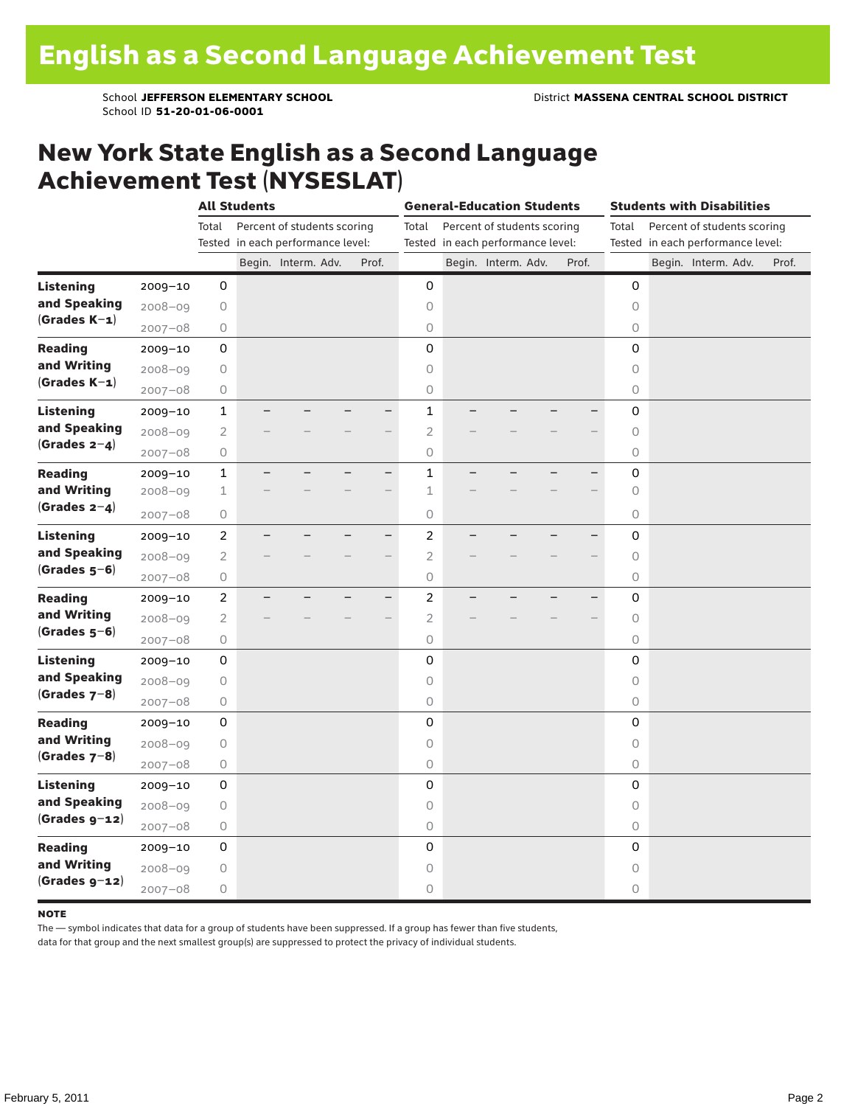School ID **51-20-01-06-0001**

#### New York State English as a Second Language Achievement Test (NYSESLAT)

|                  |             |                | <b>All Students</b>               |                             |                          |                         | <b>General-Education Students</b> |                          |             | <b>Students with Disabilities</b> |       |
|------------------|-------------|----------------|-----------------------------------|-----------------------------|--------------------------|-------------------------|-----------------------------------|--------------------------|-------------|-----------------------------------|-------|
|                  |             | Total          |                                   | Percent of students scoring |                          | Total                   | Percent of students scoring       |                          | Total       | Percent of students scoring       |       |
|                  |             |                | Tested in each performance level: |                             |                          |                         | Tested in each performance level: |                          |             | Tested in each performance level: |       |
|                  |             |                |                                   | Begin. Interm. Adv.         | Prof.                    |                         | Begin. Interm. Adv.               | Prof.                    |             | Begin. Interm. Adv.               | Prof. |
| <b>Listening</b> | $2009 - 10$ | 0              |                                   |                             |                          | 0                       |                                   |                          | $\mathbf 0$ |                                   |       |
| and Speaking     | $2008 - 09$ | 0              |                                   |                             |                          | $\circ$                 |                                   |                          | $\circ$     |                                   |       |
| $(Grades K-1)$   | $2007 - 08$ | 0              |                                   |                             |                          | 0                       |                                   |                          | 0           |                                   |       |
| <b>Reading</b>   | $2009 - 10$ | 0              |                                   |                             |                          | 0                       |                                   |                          | 0           |                                   |       |
| and Writing      | $2008 - 09$ | 0              |                                   |                             |                          | $\circ$                 |                                   |                          | $\circ$     |                                   |       |
| $(Grades K-1)$   | $2007 - 08$ | 0              |                                   |                             |                          | $\bigcirc$              |                                   |                          | 0           |                                   |       |
| <b>Listening</b> | 2009-10     | $\mathbf 1$    |                                   |                             |                          | $\mathbf 1$             |                                   |                          | 0           |                                   |       |
| and Speaking     | $2008 - 09$ | $\overline{2}$ |                                   |                             |                          | $\overline{c}$          |                                   |                          | $\mathsf O$ |                                   |       |
| $(Grades 2-4)$   | $2007 - 08$ | 0              |                                   |                             |                          | $\bigcirc$              |                                   |                          | $\circ$     |                                   |       |
| <b>Reading</b>   | $2009 - 10$ | $\mathbf{1}$   |                                   |                             | $\overline{\phantom{0}}$ | $\mathbf{1}$            |                                   |                          | 0           |                                   |       |
| and Writing      | $2008 - 09$ | $\mathbf 1$    |                                   |                             |                          | 1                       |                                   |                          | $\circ$     |                                   |       |
| (Grades $2-4$ )  | $2007 - 08$ | 0              |                                   |                             |                          | 0                       |                                   |                          | 0           |                                   |       |
| <b>Listening</b> | $2009 - 10$ | $\overline{2}$ |                                   |                             | $\overline{\phantom{0}}$ | $\overline{c}$          |                                   |                          | 0           |                                   |       |
| and Speaking     | $2008 - 09$ | $\overline{2}$ |                                   |                             |                          | $\overline{2}$          |                                   |                          | $\circ$     |                                   |       |
| $(Grades 5-6)$   | $2007 - 08$ | 0              |                                   |                             |                          | $\circ$                 |                                   |                          | $\circ$     |                                   |       |
| <b>Reading</b>   | $2009 - 10$ | $\overline{c}$ |                                   |                             | $\overline{\phantom{0}}$ | $\overline{\mathbf{c}}$ |                                   | $\overline{\phantom{0}}$ | 0           |                                   |       |
| and Writing      | $2008 - 09$ | $\overline{2}$ |                                   |                             |                          | $\overline{2}$          |                                   |                          | $\mathsf O$ |                                   |       |
| $(Grades 5-6)$   | $2007 - 08$ | 0              |                                   |                             |                          | $\bigcirc$              |                                   |                          | $\circ$     |                                   |       |
| <b>Listening</b> | 2009-10     | 0              |                                   |                             |                          | 0                       |                                   |                          | 0           |                                   |       |
| and Speaking     | $2008 - 09$ | 0              |                                   |                             |                          | $\circ$                 |                                   |                          | $\circ$     |                                   |       |
| (Grades $7-8$ )  | $2007 - 08$ | 0              |                                   |                             |                          | 0                       |                                   |                          | 0           |                                   |       |
| <b>Reading</b>   | $2009 - 10$ | 0              |                                   |                             |                          | 0                       |                                   |                          | 0           |                                   |       |
| and Writing      | $2008 - 09$ | 0              |                                   |                             |                          | $\circ$                 |                                   |                          | $\circ$     |                                   |       |
| $(Grades 7-8)$   | $2007 - 08$ | 0              |                                   |                             |                          | $\bigcirc$              |                                   |                          | 0           |                                   |       |
| <b>Listening</b> | $2009 - 10$ | 0              |                                   |                             |                          | 0                       |                                   |                          | 0           |                                   |       |
| and Speaking     | $2008 - 09$ | 0              |                                   |                             |                          | $\circ$                 |                                   |                          | $\circ$     |                                   |       |
| $(Grades g-12)$  | $2007 - 08$ | 0              |                                   |                             |                          | $\bigcirc$              |                                   |                          | $\circ$     |                                   |       |
| <b>Reading</b>   | $2009 - 10$ | 0              |                                   |                             |                          | 0                       |                                   |                          | 0           |                                   |       |
| and Writing      | $2008 - 09$ | 0              |                                   |                             |                          | $\circ$                 |                                   |                          | $\circ$     |                                   |       |
| $(Grades g-z)$   | $2007 - 08$ | 0              |                                   |                             |                          | 0                       |                                   |                          | 0           |                                   |       |

#### **NOTE**

The — symbol indicates that data for a group of students have been suppressed. If a group has fewer than five students,

data for that group and the next smallest group(s) are suppressed to protect the privacy of individual students.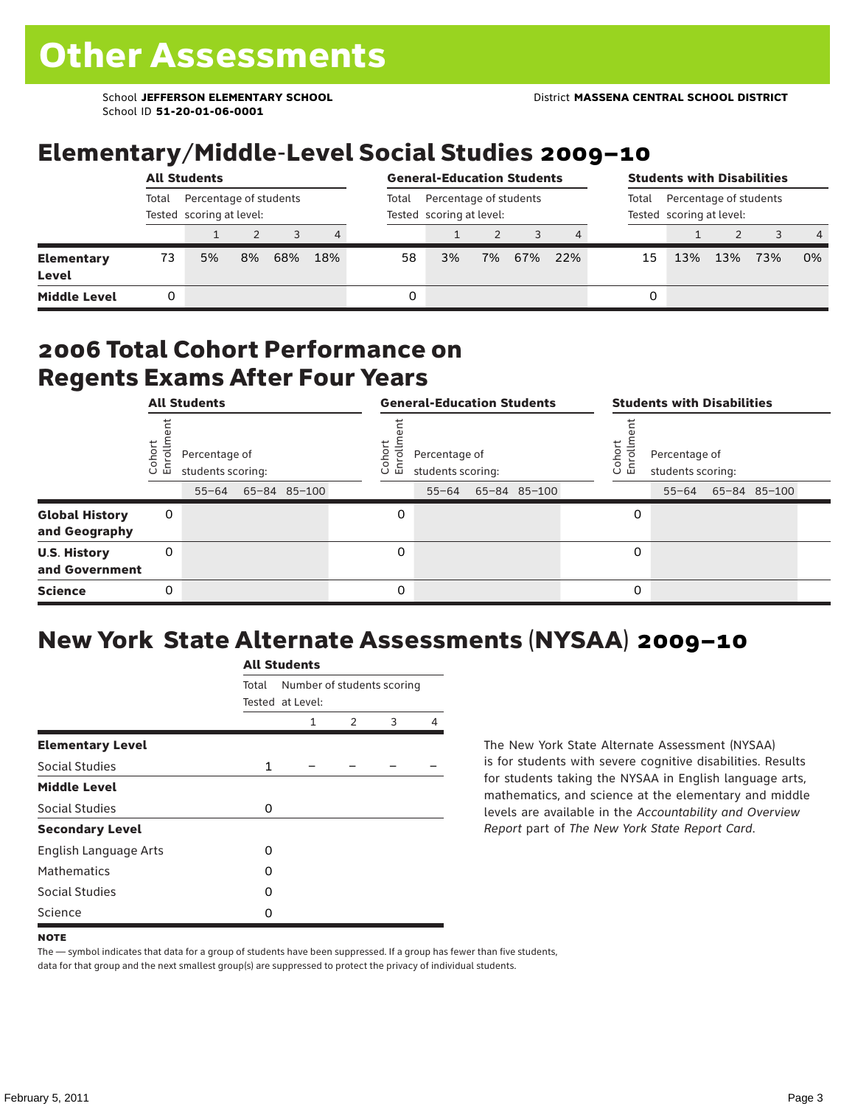School ID **51-20-01-06-0001**

### Elementary/Middle-Level Social Studies 2009–10

|                            |                                                             | <b>All Students</b> |    | <b>General-Education Students</b> |                |       |                                                    |    |     | <b>Students with Disabilities</b> |                                                             |     |     |     |    |  |
|----------------------------|-------------------------------------------------------------|---------------------|----|-----------------------------------|----------------|-------|----------------------------------------------------|----|-----|-----------------------------------|-------------------------------------------------------------|-----|-----|-----|----|--|
|                            | Total<br>Percentage of students<br>Tested scoring at level: |                     |    |                                   |                | Total | Percentage of students<br>Tested scoring at level: |    |     |                                   | Percentage of students<br>Total<br>Tested scoring at level: |     |     |     |    |  |
|                            |                                                             |                     |    |                                   | $\overline{4}$ |       |                                                    |    |     |                                   |                                                             |     |     |     | -4 |  |
| <b>Elementary</b><br>Level | 73                                                          | 5%                  | 8% | 68%                               | 18%            | 58    | 3%                                                 | 7% | 67% | 22%                               | 15                                                          | 13% | 13% | 73% | 0% |  |
| <b>Middle Level</b>        |                                                             |                     |    |                                   |                | 0     |                                                    |    |     |                                   | 0                                                           |     |     |     |    |  |

#### 2006 Total Cohort Performance on Regents Exams After Four Years

|                                        |                 | <b>All Students</b>                             |              |                  | <b>General-Education Students</b>               |              |                       | <b>Students with Disabilities</b>  |                    |  |
|----------------------------------------|-----------------|-------------------------------------------------|--------------|------------------|-------------------------------------------------|--------------|-----------------------|------------------------------------|--------------------|--|
|                                        | Cohor<br>Enroll | Percentage of<br>students scoring:<br>$55 - 64$ | 65-84 85-100 | Cohoi<br>ō.<br>ᇛ | Percentage of<br>students scoring:<br>$55 - 64$ | 65-84 85-100 | Cohor<br>$\circ$<br>멷 | Percentage of<br>students scoring: | 55-64 65-84 85-100 |  |
| <b>Global History</b><br>and Geography | 0               |                                                 |              | 0                |                                                 |              | 0                     |                                    |                    |  |
| <b>U.S. History</b><br>and Government  | 0               |                                                 |              | 0                |                                                 |              | 0                     |                                    |                    |  |
| <b>Science</b>                         | 0               |                                                 |              | 0                |                                                 |              | 0                     |                                    |                    |  |

### New York State Alternate Assessments (NYSAA) 2009–10

|                         |              | <b>All Students</b>                            |               |   |   |  |  |  |
|-------------------------|--------------|------------------------------------------------|---------------|---|---|--|--|--|
|                         | Total        | Number of students scoring<br>Tested at Level: |               |   |   |  |  |  |
|                         |              | 1                                              | $\mathcal{P}$ | 3 | 4 |  |  |  |
| <b>Elementary Level</b> |              |                                                |               |   |   |  |  |  |
| Social Studies          | $\mathbf{1}$ |                                                |               |   |   |  |  |  |
| <b>Middle Level</b>     |              |                                                |               |   |   |  |  |  |
| Social Studies          | $\Omega$     |                                                |               |   |   |  |  |  |
| <b>Secondary Level</b>  |              |                                                |               |   |   |  |  |  |
| English Language Arts   | O            |                                                |               |   |   |  |  |  |
| <b>Mathematics</b>      | O            |                                                |               |   |   |  |  |  |
| <b>Social Studies</b>   | $\Omega$     |                                                |               |   |   |  |  |  |
| Science                 | O            |                                                |               |   |   |  |  |  |

The New York State Alternate Assessment (NYSAA) is for students with severe cognitive disabilities. Results for students taking the NYSAA in English language arts, mathematics, and science at the elementary and middle levels are available in the *Accountability and Overview Report* part of *The New York State Report Card*.

The — symbol indicates that data for a group of students have been suppressed. If a group has fewer than five students, data for that group and the next smallest group(s) are suppressed to protect the privacy of individual students.

**NOTE**